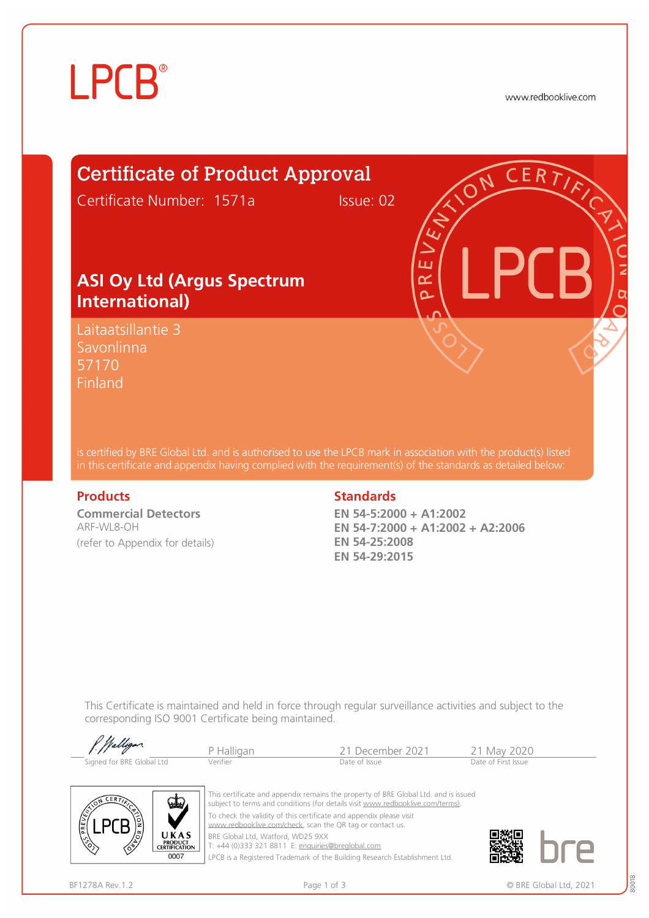# **LPCB**®

www.redbooklive.com

# Certificate of Product Approval

Certificate Number: 1571a Issue: 02

### **ASI Oy Ltd (Argus Spectrum International)**

Laitaatsillantie 3 Savonlinna 57170 Finland

is certified by BRE Global Ltd. and is authorised to use the LPCB mark in association with the product(s) listed in this certificate and appendix having complied with the requirement(s) of the standards as detailed below:

**Commercial Detectors**  ARF-WL8-OH (refer to Appendix for details)

#### **Products** Standards **Standards**

**EN 54-5:2000 + A1:2002 EN 54-7:2000 + A1:2002 + A2:2006 EN 54-25:2008 EN 54-29:2015**

ய œ  $\overline{\Omega}$ 

This Certificate is maintained and held in force through regular surveillance activities and subject to the corresponding ISO 9001 Certificate being maintained.

| P. Walligan               | P Halligan | 21 December 2021 | 21 May 2020         |
|---------------------------|------------|------------------|---------------------|
| Signed for BRE Global Ltd | Verifier   | Date of Issue    | Date of First Issue |



This certificate and appendix remains the property of BRE Global Ltd. and is issued subject to terms and conditions (for details visit [www.redbooklive.com/terms\)](http://www.redbooklive.com/terms)). To check the validity of this certificate and appendix please visit [www.redbooklive.com/check,](http://www.redbooklive.com/check) scan the QR tag or contact us. BRE Global Ltd, Watford, WD25 9XX

T: +44 (0)333 321 8811 E: [enquiries@breglobal.com](mailto:enquiries@breglobal.com)

LPCB is a Registered Trademark of the Building Research Establishment Ltd.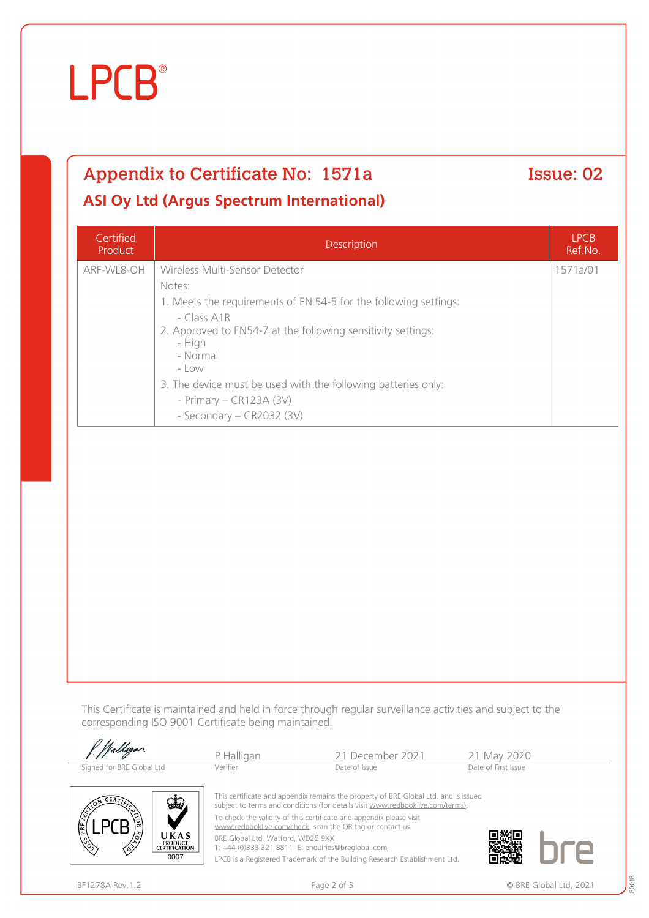# **LPCB**

## Appendix to Certificate No: 1571a Issue: 02 **ASI Oy Ltd (Argus Spectrum International)**

Certified Product Description LPCB Ref.No. ARF-WL8-OH Wireless Multi-Sensor Detector Notes: 1. Meets the requirements of EN 54-5 for the following settings: - Class A1R 2. Approved to EN54-7 at the following sensitivity settings: - High - Normal  $-$  LOW 3. The device must be used with the following batteries only: - Primary – CR123A (3V) - Secondary – CR2032 (3V) 1571a/01

This Certificate is maintained and held in force through regular surveillance activities and subject to the corresponding ISO 9001 Certificate being maintained.

|                           | P Halligan | 21 December 2021                                                                                                                                                                                                                             | 21 May 2020         |  |
|---------------------------|------------|----------------------------------------------------------------------------------------------------------------------------------------------------------------------------------------------------------------------------------------------|---------------------|--|
| Signed for BRE Global Ltd | Verifier   | Date of Issue                                                                                                                                                                                                                                | Date of First Issue |  |
| CERT<br>W.                |            | This certificate and appendix remains the property of BRE Global Ltd. and is issued<br>subject to terms and conditions (for details visit www.redbooklive.com/terms).<br>To check the validity of this certificate and appendix please visit |                     |  |

[www.redbooklive.com/check](http://www.redbooklive.com/check), scan the QR tag or contact us.

BRE Global Ltd, Watford, WD25 9XX

T: +44 (0)333 321 8811 E: [enquiries@breglobal.com](mailto:enquiries@breglobal.com)

LPCB is a Registered Trademark of the Building Research Establishment Ltd.



UKAS **PRODUCT<br>CERTIFICATION** 0007

80018